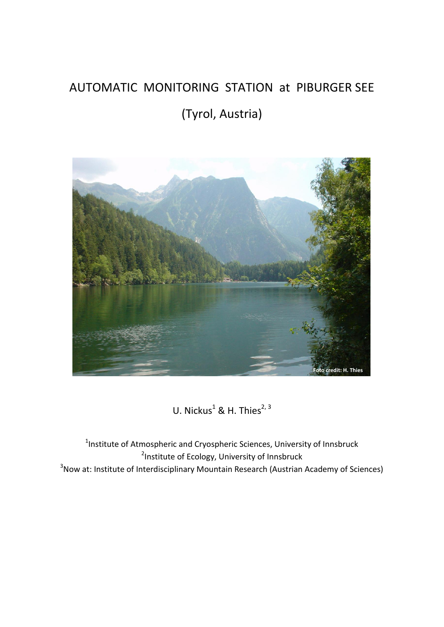## AUTOMATIC MONITORING STATION at PIBURGER SEE

# (Tyrol, Austria)



U. Nickus<sup>1</sup> & H. Thies<sup>2, 3</sup>

<sup>1</sup>Institute of Atmospheric and Cryospheric Sciences, University of Innsbruck <sup>2</sup>Institute of Ecology, University of Innsbruck <sup>3</sup>Now at: Institute of Interdisciplinary Mountain Research (Austrian Academy of Sciences)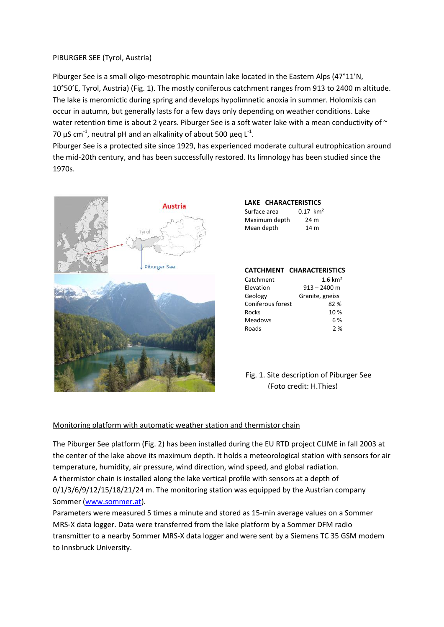## PIBURGER SEE (Tyrol, Austria)

Piburger See is a small oligo-mesotrophic mountain lake located in the Eastern Alps (47°11'N, 10°50'E, Tyrol, Austria) (Fig. 1). The mostly coniferous catchment ranges from 913 to 2400 m altitude. The lake is meromictic during spring and develops hypolimnetic anoxia in summer. Holomixis can occur in autumn, but generally lasts for a few days only depending on weather conditions. Lake water retention time is about 2 years. Piburger See is a soft water lake with a mean conductivity of  $\sim$ 70  $\mu$ S cm<sup>-1</sup>, neutral pH and an alkalinity of about 500  $\mu$ eq L<sup>-1</sup>.

Piburger See is a protected site since 1929, has experienced moderate cultural eutrophication around the mid-20th century, and has been successfully restored. Its limnology has been studied since the 1970s.



| LAKE CHARACTERISTICS |                        |
|----------------------|------------------------|
| Surface area         | $0.17$ km <sup>2</sup> |
| Maximum depth        | 24 m                   |
| Mean depth           | 14 m                   |

#### **CATCHMENT CHARACTERISTICS**

| $1.6 \text{ km}^2$ |
|--------------------|
| $913 - 2400$ m     |
| Granite, gneiss    |
| 82%                |
| 10 %               |
| 6 %                |
| 2%                 |
|                    |

## Fig. 1. Site description of Piburger See (Foto credit: H.Thies)

## Monitoring platform with automatic weather station and thermistor chain

The Piburger See platform (Fig. 2) has been installed during the EU RTD project CLIME in fall 2003 at the center of the lake above its maximum depth. It holds a meteorological station with sensors for air temperature, humidity, air pressure, wind direction, wind speed, and global radiation. A thermistor chain is installed along the lake vertical profile with sensors at a depth of 0/1/3/6/9/12/15/18/21/24 m. The monitoring station was equipped by the Austrian company Sommer [\(www.sommer.at\)](file:///C:/ULI/DATEN/PIBURGER%20SEE/PANGAEA-Piburger%20See/www.sommer.at).

Parameters were measured 5 times a minute and stored as 15-min average values on a Sommer MRS-X data logger. Data were transferred from the lake platform by a Sommer DFM radio transmitter to a nearby Sommer MRS-X data logger and were sent by a Siemens TC 35 GSM modem to Innsbruck University.